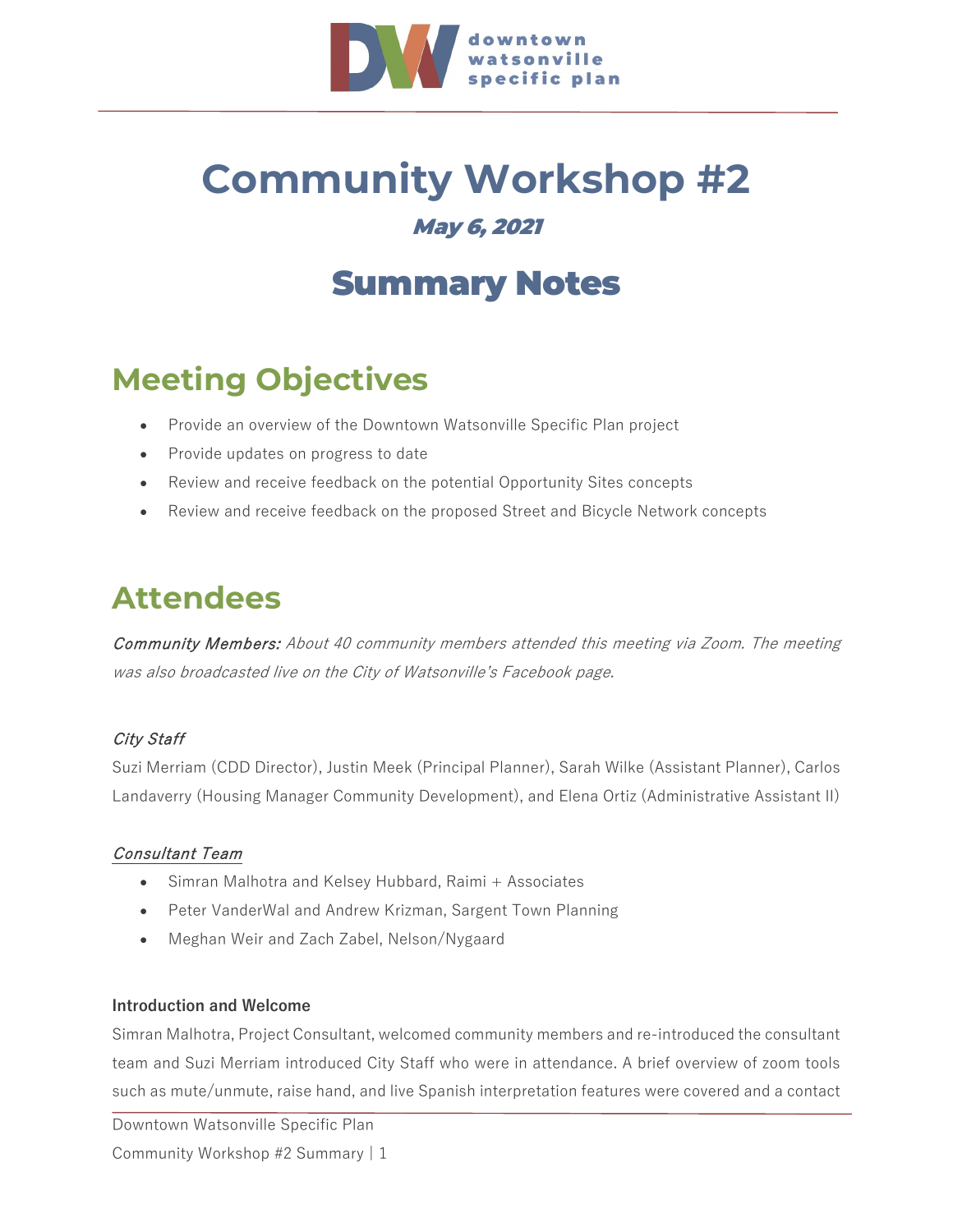

## **Community Workshop #2** May 6, 2021

## Summary Notes

### **Meeting Objectives**

- Provide an overview of the Downtown Watsonville Specific Plan project
- Provide updates on progress to date
- Review and receive feedback on the potential Opportunity Sites concepts
- Review and receive feedback on the proposed Street and Bicycle Network concepts

### **Attendees**

Community Members: About 40 community members attended this meeting via Zoom. The meeting was also broadcasted live on the City of Watsonville's Facebook page.

#### City Staff

Suzi Merriam (CDD Director), Justin Meek (Principal Planner), Sarah Wilke (Assistant Planner), Carlos Landaverry (Housing Manager Community Development), and Elena Ortiz (Administrative Assistant II)

#### Consultant Team

- Simran Malhotra and Kelsey Hubbard, Raimi + Associates
- Peter VanderWal and Andrew Krizman, Sargent Town Planning
- Meghan Weir and Zach Zabel, Nelson/Nygaard

#### **Introduction and Welcome**

Simran Malhotra, Project Consultant, welcomed community members and re-introduced the consultant team and Suzi Merriam introduced City Staff who were in attendance. A brief overview of zoom tools such as mute/unmute, raise hand, and live Spanish interpretation features were covered and a contact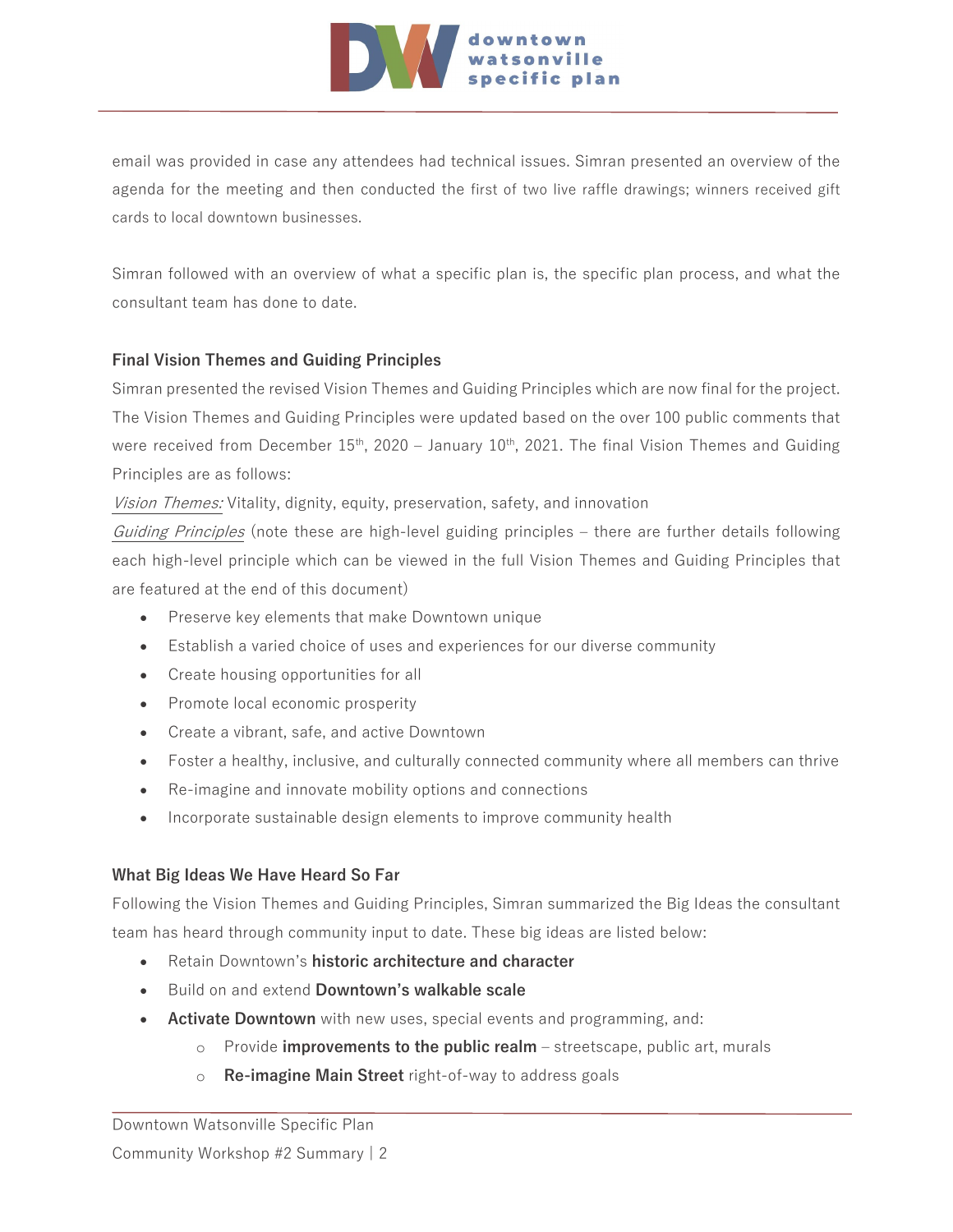

email was provided in case any attendees had technical issues. Simran presented an overview of the agenda for the meeting and then conducted the first of two live raffle drawings; winners received gift cards to local downtown businesses.

Simran followed with an overview of what a specific plan is, the specific plan process, and what the consultant team has done to date.

#### **Final Vision Themes and Guiding Principles**

Simran presented the revised Vision Themes and Guiding Principles which are now final for the project. The Vision Themes and Guiding Principles were updated based on the over 100 public comments that were received from December  $15<sup>th</sup>$ , 2020 – January 10<sup>th</sup>, 2021. The final Vision Themes and Guiding Principles are as follows:

Vision Themes: Vitality, dignity, equity, preservation, safety, and innovation

Guiding Principles (note these are high-level guiding principles – there are further details following each high-level principle which can be viewed in the full Vision Themes and Guiding Principles that are featured at the end of this document)

- Preserve key elements that make Downtown unique
- Establish a varied choice of uses and experiences for our diverse community
- Create housing opportunities for all
- Promote local economic prosperity
- Create a vibrant, safe, and active Downtown
- Foster a healthy, inclusive, and culturally connected community where all members can thrive
- Re-imagine and innovate mobility options and connections
- Incorporate sustainable design elements to improve community health

#### **What Big Ideas We Have Heard So Far**

Following the Vision Themes and Guiding Principles, Simran summarized the Big Ideas the consultant team has heard through community input to date. These big ideas are listed below:

- Retain Downtown's **historic architecture and character**
- Build on and extend **Downtown's walkable scale**
- **Activate Downtown** with new uses, special events and programming, and:
	- o Provide **improvements to the public realm**  streetscape, public art, murals
	- o **Re-imagine Main Street** right-of-way to address goals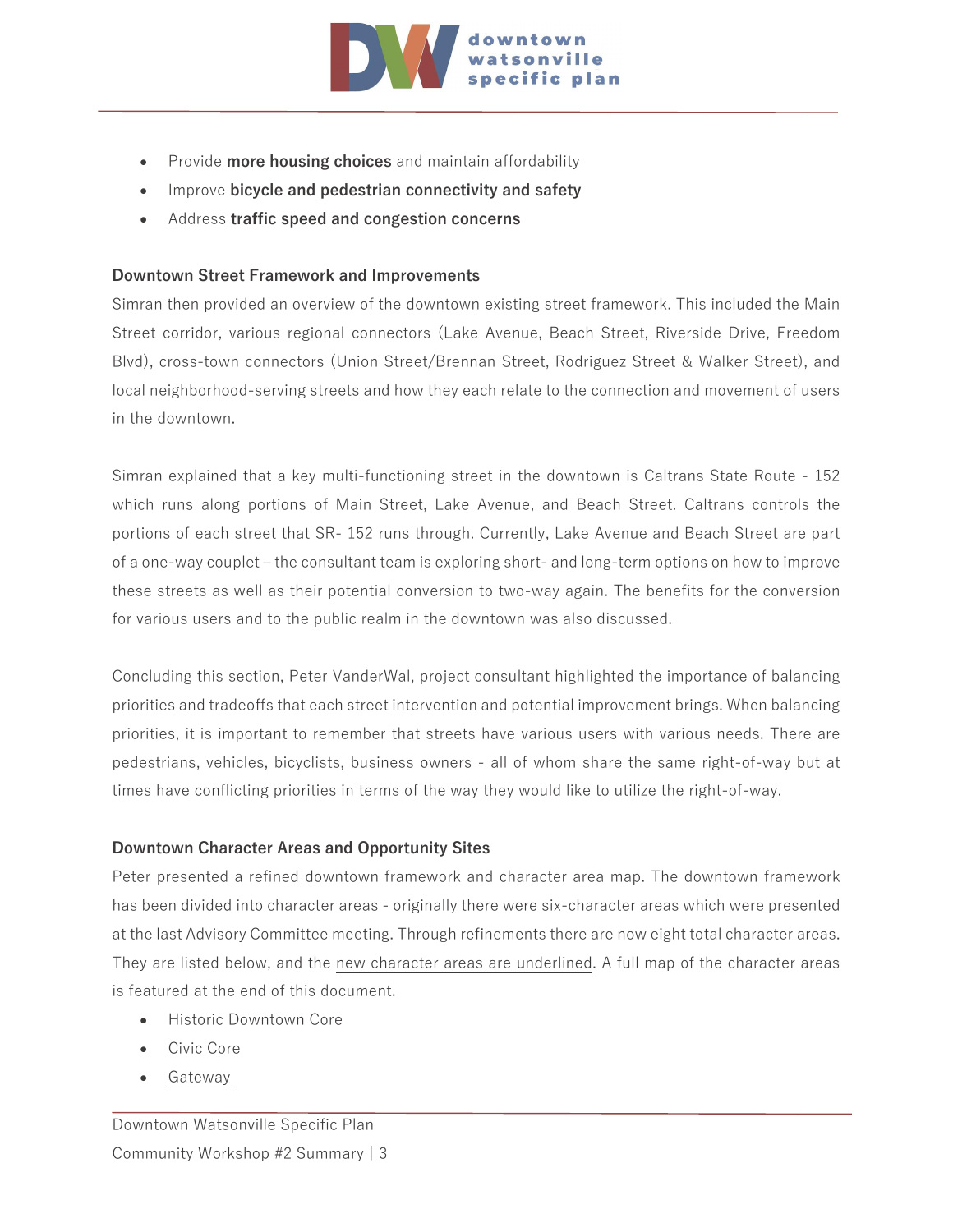

- Provide **more housing choices** and maintain affordability
- Improve **bicycle and pedestrian connectivity and safety**
- Address **traffic speed and congestion concerns**

#### **Downtown Street Framework and Improvements**

Simran then provided an overview of the downtown existing street framework. This included the Main Street corridor, various regional connectors (Lake Avenue, Beach Street, Riverside Drive, Freedom Blvd), cross-town connectors (Union Street/Brennan Street, Rodriguez Street & Walker Street), and local neighborhood-serving streets and how they each relate to the connection and movement of users in the downtown.

Simran explained that a key multi-functioning street in the downtown is Caltrans State Route - 152 which runs along portions of Main Street, Lake Avenue, and Beach Street. Caltrans controls the portions of each street that SR- 152 runs through. Currently, Lake Avenue and Beach Street are part of a one-way couplet – the consultant team is exploring short- and long-term options on how to improve these streets as well as their potential conversion to two-way again. The benefits for the conversion for various users and to the public realm in the downtown was also discussed.

Concluding this section, Peter VanderWal, project consultant highlighted the importance of balancing priorities and tradeoffs that each street intervention and potential improvement brings. When balancing priorities, it is important to remember that streets have various users with various needs. There are pedestrians, vehicles, bicyclists, business owners - all of whom share the same right-of-way but at times have conflicting priorities in terms of the way they would like to utilize the right-of-way.

#### **Downtown Character Areas and Opportunity Sites**

Peter presented a refined downtown framework and character area map. The downtown framework has been divided into character areas - originally there were six-character areas which were presented at the last Advisory Committee meeting. Through refinements there are now eight total character areas. They are listed below, and the new character areas are underlined. A full map of the character areas is featured at the end of this document.

- Historic Downtown Core
- Civic Core
- Gateway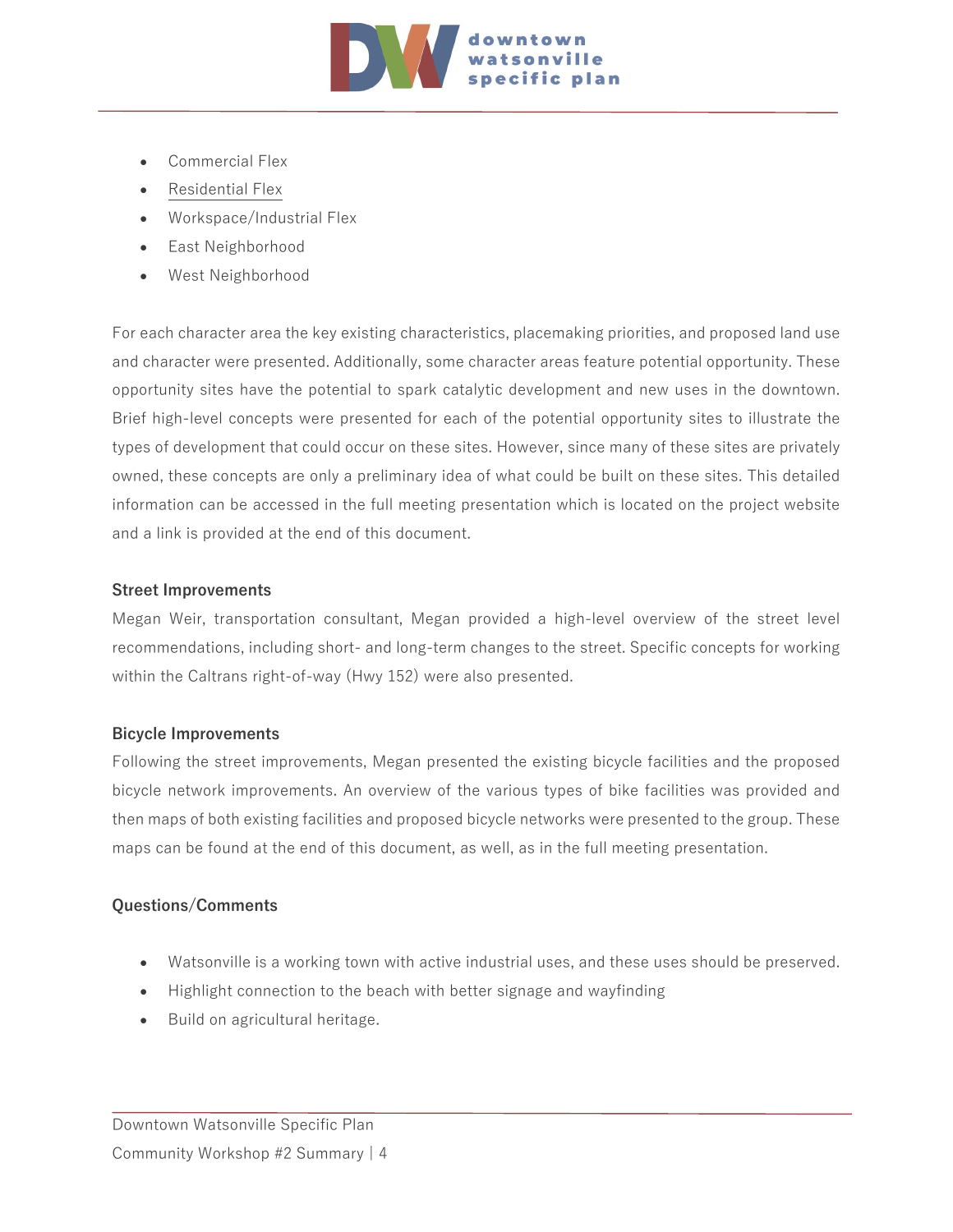

- Commercial Flex
- Residential Flex
- Workspace/Industrial Flex
- East Neighborhood
- West Neighborhood

For each character area the key existing characteristics, placemaking priorities, and proposed land use and character were presented. Additionally, some character areas feature potential opportunity. These opportunity sites have the potential to spark catalytic development and new uses in the downtown. Brief high-level concepts were presented for each of the potential opportunity sites to illustrate the types of development that could occur on these sites. However, since many of these sites are privately owned, these concepts are only a preliminary idea of what could be built on these sites. This detailed information can be accessed in the full meeting presentation which is located on the project website and a link is provided at the end of this document.

#### **Street Improvements**

Megan Weir, transportation consultant, Megan provided a high-level overview of the street level recommendations, including short- and long-term changes to the street. Specific concepts for working within the Caltrans right-of-way (Hwy 152) were also presented.

#### **Bicycle Improvements**

Following the street improvements, Megan presented the existing bicycle facilities and the proposed bicycle network improvements. An overview of the various types of bike facilities was provided and then maps of both existing facilities and proposed bicycle networks were presented to the group. These maps can be found at the end of this document, as well, as in the full meeting presentation.

#### **Questions/Comments**

- Watsonville is a working town with active industrial uses, and these uses should be preserved.
- Highlight connection to the beach with better signage and wayfinding
- Build on agricultural heritage.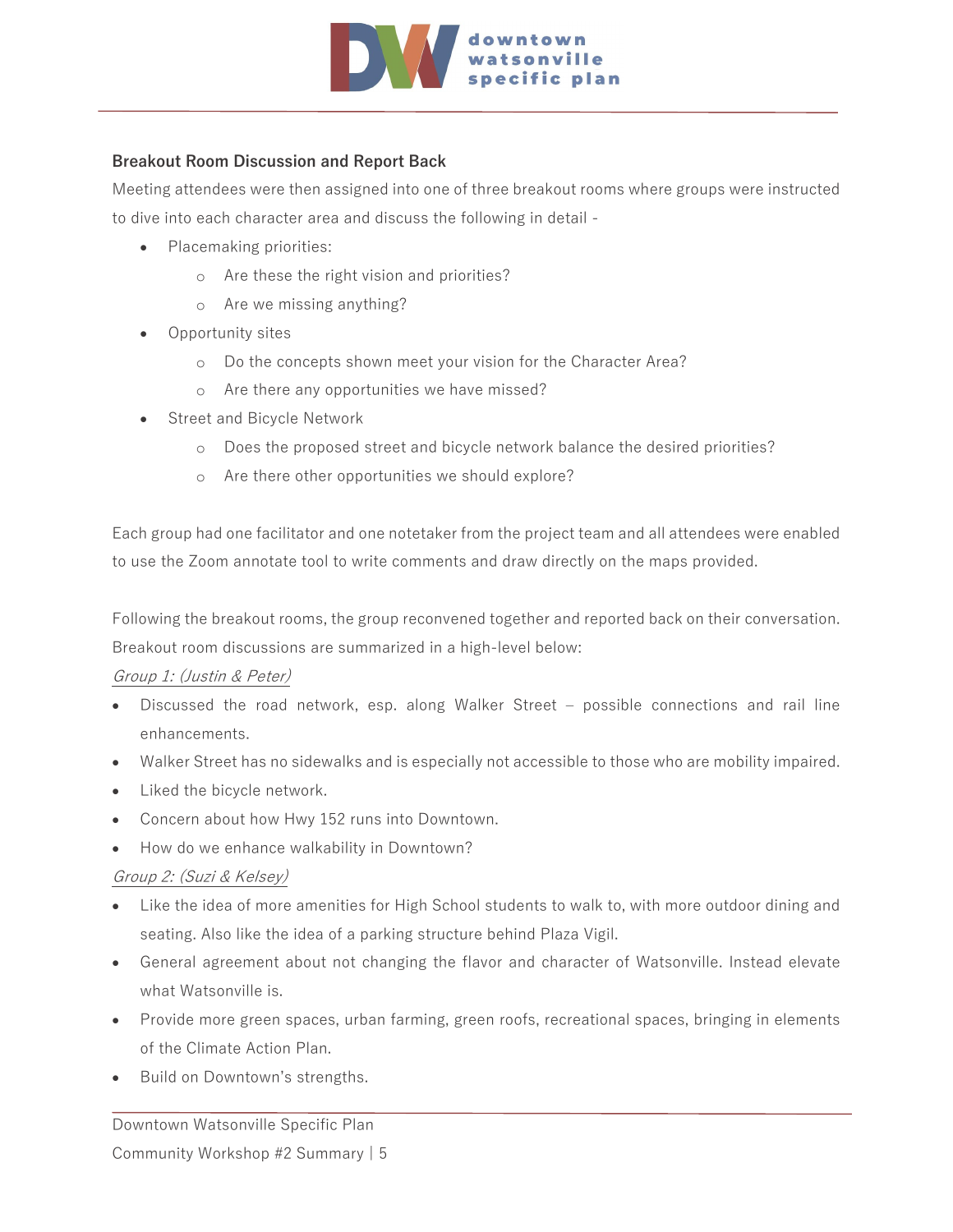

#### **Breakout Room Discussion and Report Back**

Meeting attendees were then assigned into one of three breakout rooms where groups were instructed to dive into each character area and discuss the following in detail -

- Placemaking priorities:
	- o Are these the right vision and priorities?
	- o Are we missing anything?
- Opportunity sites
	- o Do the concepts shown meet your vision for the Character Area?
	- o Are there any opportunities we have missed?
- Street and Bicycle Network
	- o Does the proposed street and bicycle network balance the desired priorities?
	- o Are there other opportunities we should explore?

Each group had one facilitator and one notetaker from the project team and all attendees were enabled to use the Zoom annotate tool to write comments and draw directly on the maps provided.

Following the breakout rooms, the group reconvened together and reported back on their conversation. Breakout room discussions are summarized in a high-level below:

#### Group 1: (Justin & Peter)

- Discussed the road network, esp. along Walker Street possible connections and rail line enhancements.
- Walker Street has no sidewalks and is especially not accessible to those who are mobility impaired.
- Liked the bicycle network.
- Concern about how Hwy 152 runs into Downtown.
- How do we enhance walkability in Downtown?

#### Group 2: (Suzi & Kelsey)

- Like the idea of more amenities for High School students to walk to, with more outdoor dining and seating. Also like the idea of a parking structure behind Plaza Vigil.
- General agreement about not changing the flavor and character of Watsonville. Instead elevate what Watsonville is.
- Provide more green spaces, urban farming, green roofs, recreational spaces, bringing in elements of the Climate Action Plan.
- Build on Downtown's strengths.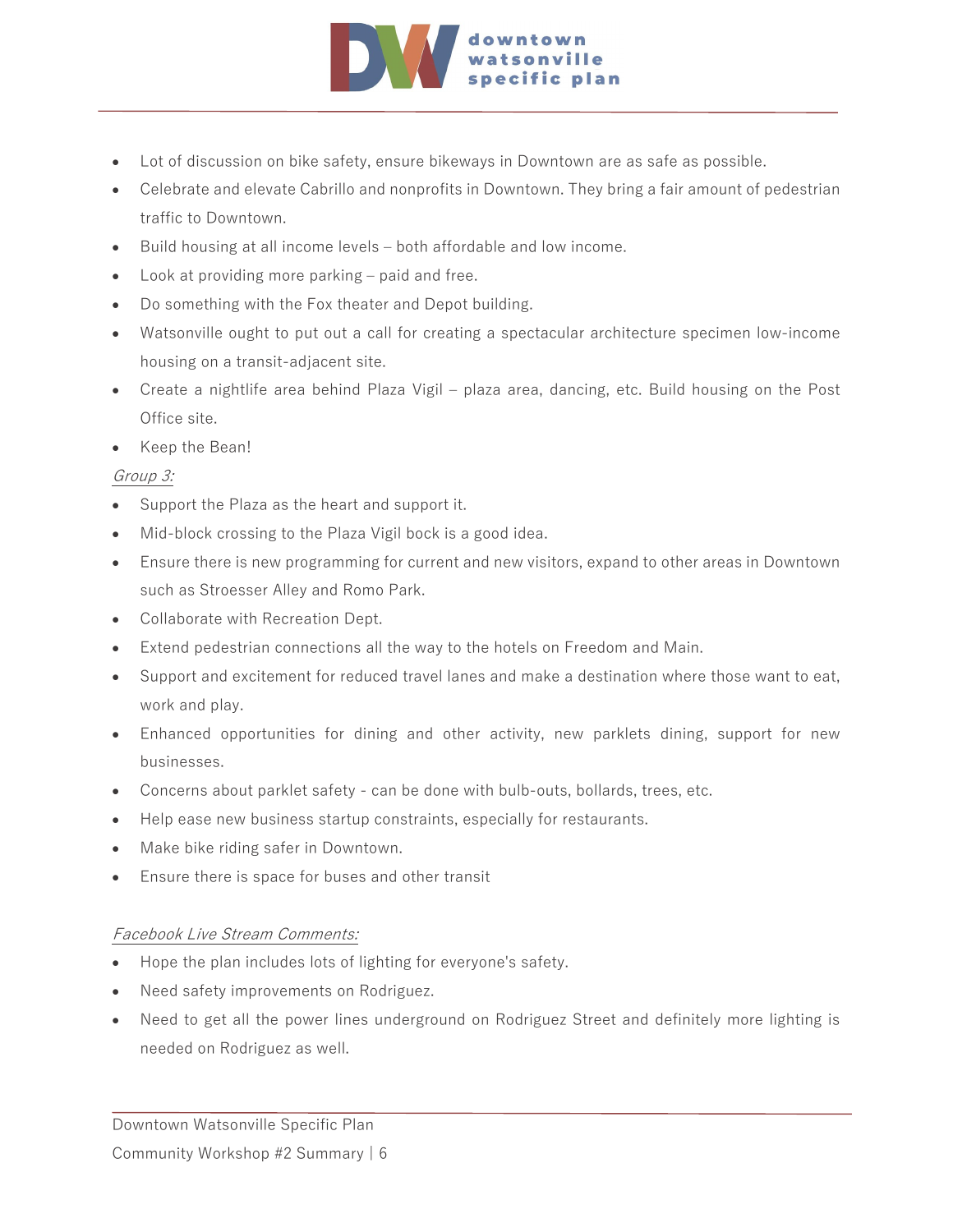

- Lot of discussion on bike safety, ensure bikeways in Downtown are as safe as possible.
- Celebrate and elevate Cabrillo and nonprofits in Downtown. They bring a fair amount of pedestrian traffic to Downtown.
- Build housing at all income levels both affordable and low income.
- Look at providing more parking paid and free.
- Do something with the Fox theater and Depot building.
- Watsonville ought to put out a call for creating a spectacular architecture specimen low-income housing on a transit-adjacent site.
- Create a nightlife area behind Plaza Vigil plaza area, dancing, etc. Build housing on the Post Office site.
- Keep the Bean!

#### Group 3:

- Support the Plaza as the heart and support it.
- Mid-block crossing to the Plaza Vigil bock is a good idea.
- Ensure there is new programming for current and new visitors, expand to other areas in Downtown such as Stroesser Alley and Romo Park.
- Collaborate with Recreation Dept.
- Extend pedestrian connections all the way to the hotels on Freedom and Main.
- Support and excitement for reduced travel lanes and make a destination where those want to eat, work and play.
- Enhanced opportunities for dining and other activity, new parklets dining, support for new businesses.
- Concerns about parklet safety can be done with bulb-outs, bollards, trees, etc.
- Help ease new business startup constraints, especially for restaurants.
- Make bike riding safer in Downtown.
- Ensure there is space for buses and other transit

#### Facebook Live Stream Comments:

- Hope the plan includes lots of lighting for everyone's safety.
- Need safety improvements on Rodriguez.
- Need to get all the power lines underground on Rodriguez Street and definitely more lighting is needed on Rodriguez as well.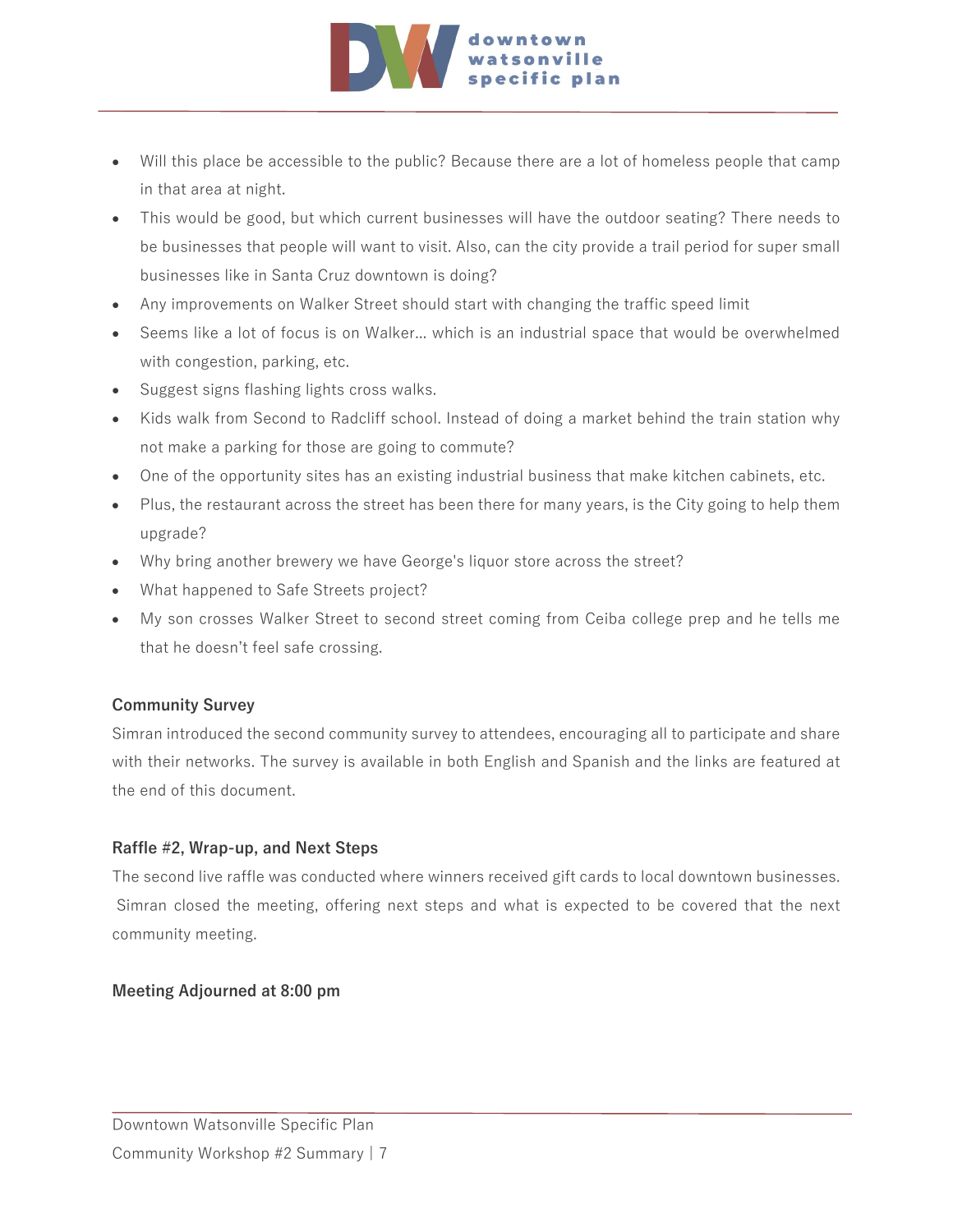

- Will this place be accessible to the public? Because there are a lot of homeless people that camp in that area at night.
- This would be good, but which current businesses will have the outdoor seating? There needs to be businesses that people will want to visit. Also, can the city provide a trail period for super small businesses like in Santa Cruz downtown is doing?
- Any improvements on Walker Street should start with changing the traffic speed limit
- Seems like a lot of focus is on Walker... which is an industrial space that would be overwhelmed with congestion, parking, etc.
- Suggest signs flashing lights cross walks.
- Kids walk from Second to Radcliff school. Instead of doing a market behind the train station why not make a parking for those are going to commute?
- One of the opportunity sites has an existing industrial business that make kitchen cabinets, etc.
- Plus, the restaurant across the street has been there for many years, is the City going to help them upgrade?
- Why bring another brewery we have George's liquor store across the street?
- What happened to Safe Streets project?
- My son crosses Walker Street to second street coming from Ceiba college prep and he tells me that he doesn't feel safe crossing.

#### **Community Survey**

Simran introduced the second community survey to attendees, encouraging all to participate and share with their networks. The survey is available in both English and Spanish and the links are featured at the end of this document.

#### **Raffle #2, Wrap-up, and Next Steps**

The second live raffle was conducted where winners received gift cards to local downtown businesses. Simran closed the meeting, offering next steps and what is expected to be covered that the next community meeting.

#### **Meeting Adjourned at 8:00 pm**